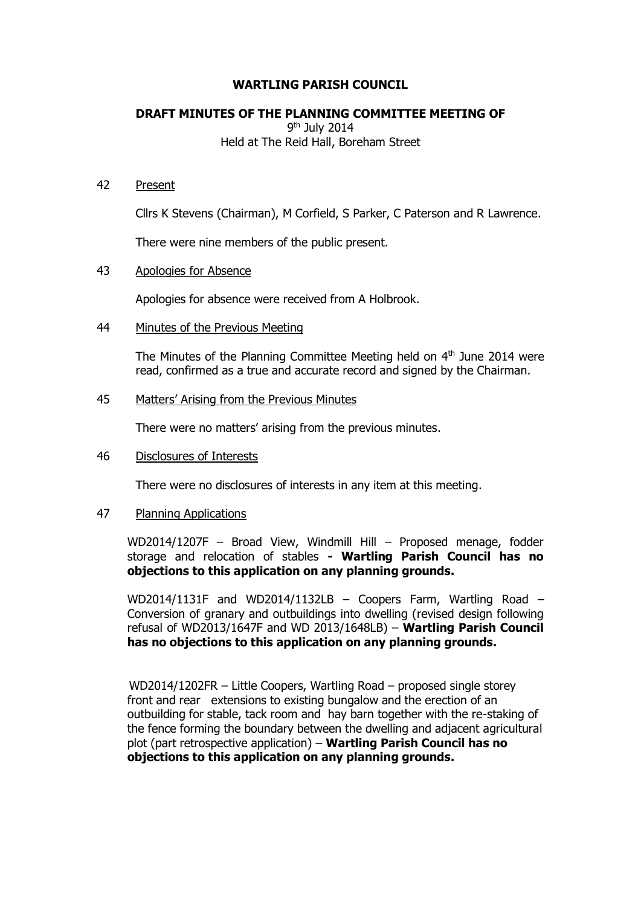# **WARTLING PARISH COUNCIL**

# **DRAFT MINUTES OF THE PLANNING COMMITTEE MEETING OF**

9<sup>th</sup> July 2014 Held at The Reid Hall, Boreham Street

#### 42 Present

Cllrs K Stevens (Chairman), M Corfield, S Parker, C Paterson and R Lawrence.

There were nine members of the public present.

#### 43 Apologies for Absence

Apologies for absence were received from A Holbrook.

# 44 Minutes of the Previous Meeting

The Minutes of the Planning Committee Meeting held on  $4<sup>th</sup>$  June 2014 were read, confirmed as a true and accurate record and signed by the Chairman.

# 45 Matters' Arising from the Previous Minutes

There were no matters' arising from the previous minutes.

#### 46 Disclosures of Interests

There were no disclosures of interests in any item at this meeting.

#### 47 Planning Applications

WD2014/1207F – Broad View, Windmill Hill – Proposed menage, fodder storage and relocation of stables **- Wartling Parish Council has no objections to this application on any planning grounds.**

WD2014/1131F and WD2014/1132LB – Coopers Farm, Wartling Road – Conversion of granary and outbuildings into dwelling (revised design following refusal of WD2013/1647F and WD 2013/1648LB) – **Wartling Parish Council has no objections to this application on any planning grounds.**

WD2014/1202FR – Little Coopers, Wartling Road – proposed single storey front and rear extensions to existing bungalow and the erection of an outbuilding for stable, tack room and hay barn together with the re-staking of the fence forming the boundary between the dwelling and adjacent agricultural plot (part retrospective application) – **Wartling Parish Council has no objections to this application on any planning grounds.**